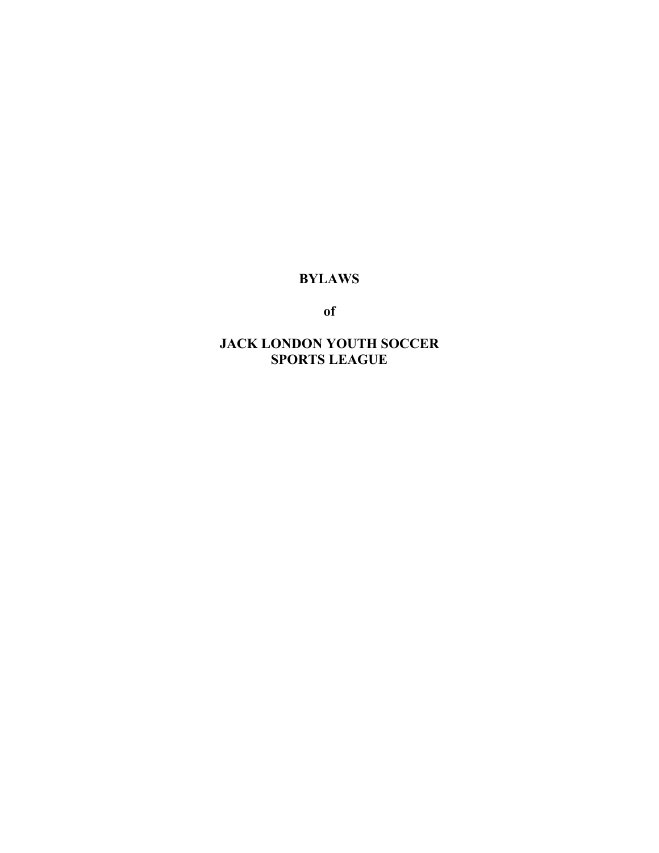## **BYLAWS**

**of**

**JACK LONDON YOUTH SOCCER SPORTS LEAGUE**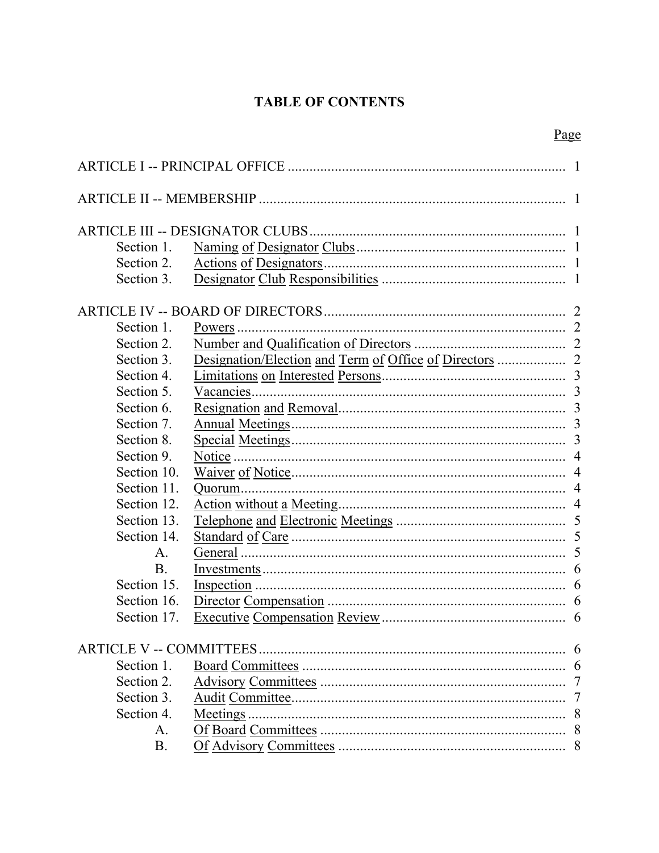# **TABLE OF CONTENTS**

| Section 1.     |           |   |
|----------------|-----------|---|
| Section 2.     |           |   |
| Section 3.     |           |   |
|                |           |   |
| Section 1.     |           |   |
| Section 2.     |           |   |
| Section 3.     |           |   |
| Section 4.     |           |   |
| Section 5.     | Vacancies |   |
| Section 6.     |           |   |
| Section 7.     |           |   |
| Section 8.     |           |   |
| Section 9.     |           |   |
| Section 10.    |           |   |
| Section 11.    |           |   |
| Section 12.    |           |   |
| Section 13.    |           |   |
| Section 14.    |           |   |
| $\mathsf{A}$ . |           |   |
| <b>B.</b>      |           |   |
| Section 15.    |           |   |
| Section 16.    |           |   |
| Section 17.    |           |   |
|                |           | 6 |
| Section 1.     |           |   |
| Section 2.     |           | 7 |
| Section 3.     |           | 7 |
| Section 4.     | Meetings. | 8 |
| А.             |           |   |
| Β.             |           |   |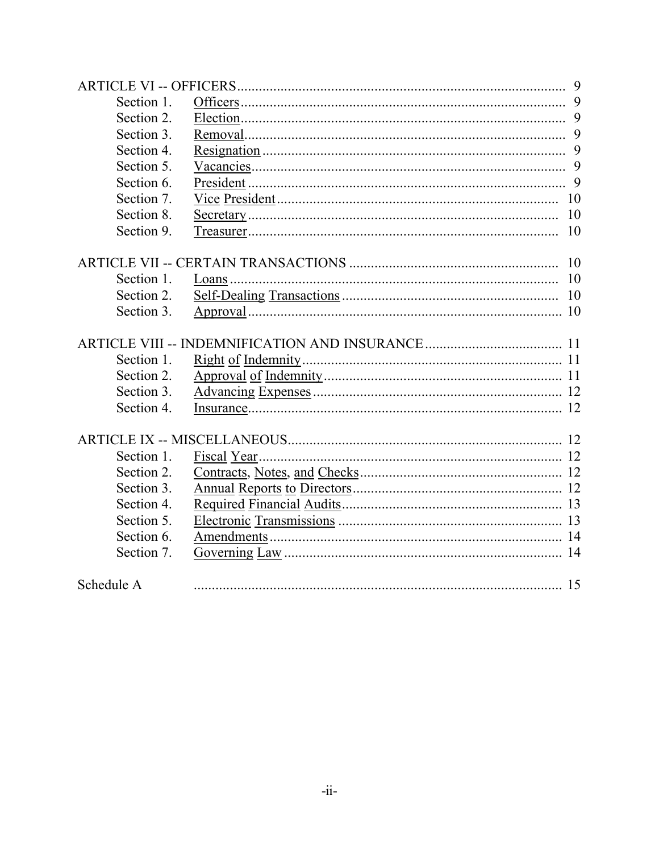| Section 1. |    |
|------------|----|
| Section 2. |    |
| Section 3. |    |
| Section 4. |    |
| Section 5. |    |
| Section 6. |    |
| Section 7. |    |
| Section 8. |    |
| Section 9. |    |
|            |    |
| Section 1. |    |
| Section 2. |    |
| Section 3. |    |
|            |    |
| Section 1. |    |
| Section 2. |    |
| Section 3. |    |
| Section 4. |    |
|            |    |
| Section 1. |    |
| Section 2. |    |
| Section 3. |    |
| Section 4. |    |
| Section 5. |    |
| Section 6. |    |
| Section 7. |    |
| Schedule A | 15 |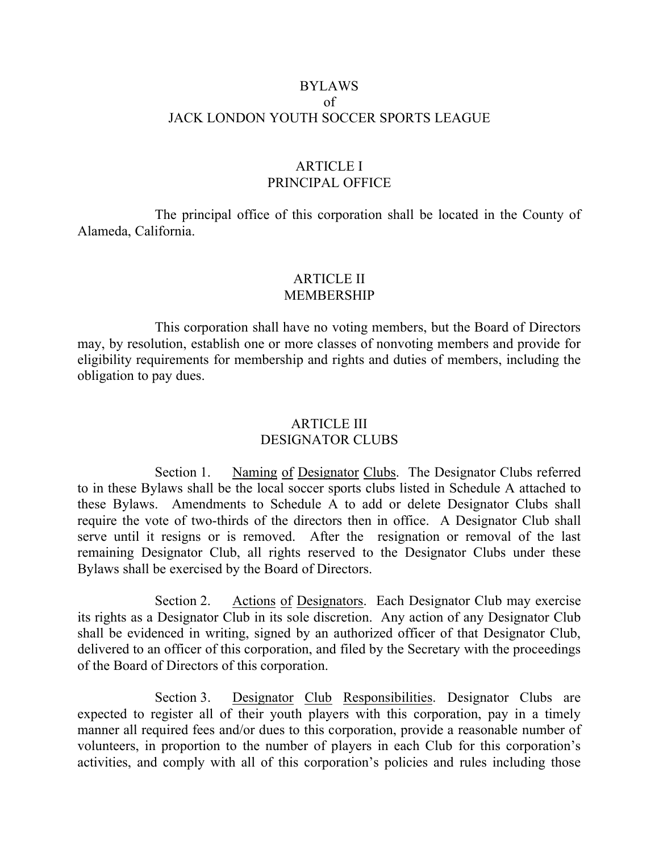#### BYLAWS of JACK LONDON YOUTH SOCCER SPORTS LEAGUE

## ARTICLE I PRINCIPAL OFFICE

The principal office of this corporation shall be located in the County of Alameda, California.

#### ARTICLE II MEMBERSHIP

This corporation shall have no voting members, but the Board of Directors may, by resolution, establish one or more classes of nonvoting members and provide for eligibility requirements for membership and rights and duties of members, including the obligation to pay dues.

#### ARTICLE III DESIGNATOR CLUBS

Section 1. Naming of Designator Clubs. The Designator Clubs referred to in these Bylaws shall be the local soccer sports clubs listed in Schedule A attached to these Bylaws. Amendments to Schedule A to add or delete Designator Clubs shall require the vote of two-thirds of the directors then in office. A Designator Club shall serve until it resigns or is removed. After the resignation or removal of the last remaining Designator Club, all rights reserved to the Designator Clubs under these Bylaws shall be exercised by the Board of Directors.

Section 2. Actions of Designators. Each Designator Club may exercise its rights as a Designator Club in its sole discretion. Any action of any Designator Club shall be evidenced in writing, signed by an authorized officer of that Designator Club, delivered to an officer of this corporation, and filed by the Secretary with the proceedings of the Board of Directors of this corporation.

Section 3. Designator Club Responsibilities. Designator Clubs are expected to register all of their youth players with this corporation, pay in a timely manner all required fees and/or dues to this corporation, provide a reasonable number of volunteers, in proportion to the number of players in each Club for this corporation's activities, and comply with all of this corporation's policies and rules including those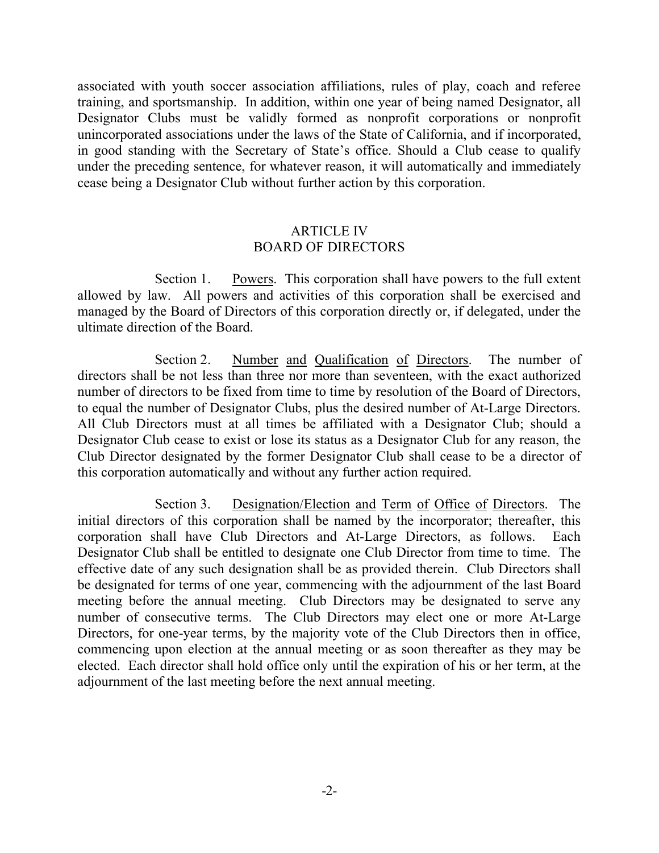associated with youth soccer association affiliations, rules of play, coach and referee training, and sportsmanship. In addition, within one year of being named Designator, all Designator Clubs must be validly formed as nonprofit corporations or nonprofit unincorporated associations under the laws of the State of California, and if incorporated, in good standing with the Secretary of State's office. Should a Club cease to qualify under the preceding sentence, for whatever reason, it will automatically and immediately cease being a Designator Club without further action by this corporation.

#### ARTICLE IV BOARD OF DIRECTORS

Section 1. Powers. This corporation shall have powers to the full extent allowed by law. All powers and activities of this corporation shall be exercised and managed by the Board of Directors of this corporation directly or, if delegated, under the ultimate direction of the Board.

Section 2. Number and Qualification of Directors. The number of directors shall be not less than three nor more than seventeen, with the exact authorized number of directors to be fixed from time to time by resolution of the Board of Directors, to equal the number of Designator Clubs, plus the desired number of At-Large Directors. All Club Directors must at all times be affiliated with a Designator Club; should a Designator Club cease to exist or lose its status as a Designator Club for any reason, the Club Director designated by the former Designator Club shall cease to be a director of this corporation automatically and without any further action required.

Section 3. Designation/Election and Term of Office of Directors. The initial directors of this corporation shall be named by the incorporator; thereafter, this corporation shall have Club Directors and At-Large Directors, as follows. Each Designator Club shall be entitled to designate one Club Director from time to time. The effective date of any such designation shall be as provided therein. Club Directors shall be designated for terms of one year, commencing with the adjournment of the last Board meeting before the annual meeting. Club Directors may be designated to serve any number of consecutive terms. The Club Directors may elect one or more At-Large Directors, for one-year terms, by the majority vote of the Club Directors then in office, commencing upon election at the annual meeting or as soon thereafter as they may be elected. Each director shall hold office only until the expiration of his or her term, at the adjournment of the last meeting before the next annual meeting.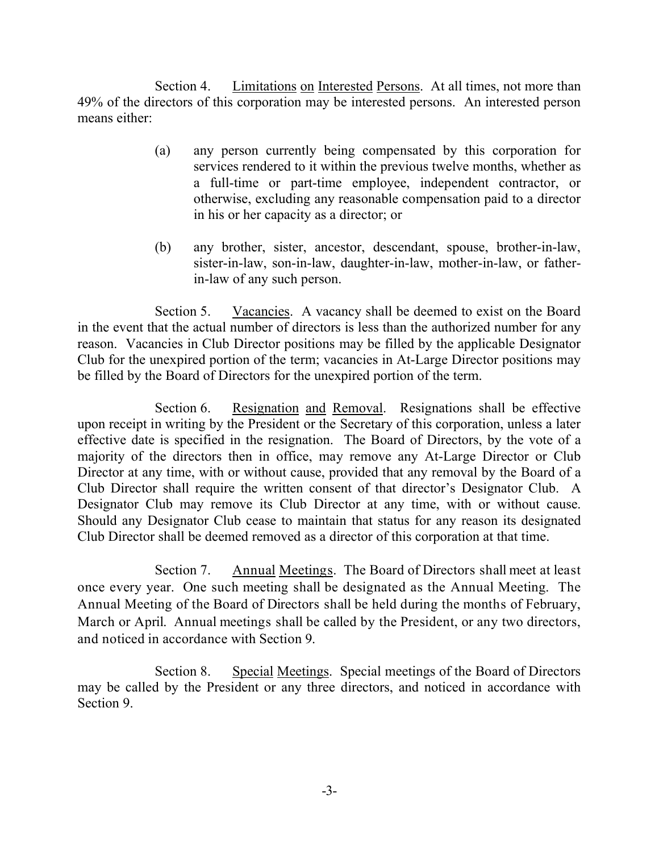Section 4. Limitations on Interested Persons. At all times, not more than 49% of the directors of this corporation may be interested persons. An interested person means either:

- (a) any person currently being compensated by this corporation for services rendered to it within the previous twelve months, whether as a full-time or part-time employee, independent contractor, or otherwise, excluding any reasonable compensation paid to a director in his or her capacity as a director; or
- (b) any brother, sister, ancestor, descendant, spouse, brother-in-law, sister-in-law, son-in-law, daughter-in-law, mother-in-law, or fatherin-law of any such person.

Section 5. Vacancies. A vacancy shall be deemed to exist on the Board in the event that the actual number of directors is less than the authorized number for any reason. Vacancies in Club Director positions may be filled by the applicable Designator Club for the unexpired portion of the term; vacancies in At-Large Director positions may be filled by the Board of Directors for the unexpired portion of the term.

Section 6. Resignation and Removal. Resignations shall be effective upon receipt in writing by the President or the Secretary of this corporation, unless a later effective date is specified in the resignation. The Board of Directors, by the vote of a majority of the directors then in office, may remove any At-Large Director or Club Director at any time, with or without cause, provided that any removal by the Board of a Club Director shall require the written consent of that director's Designator Club. A Designator Club may remove its Club Director at any time, with or without cause. Should any Designator Club cease to maintain that status for any reason its designated Club Director shall be deemed removed as a director of this corporation at that time.

Section 7. Annual Meetings. The Board of Directors shall meet at least once every year. One such meeting shall be designated as the Annual Meeting. The Annual Meeting of the Board of Directors shall be held during the months of February, March or April. Annual meetings shall be called by the President, or any two directors, and noticed in accordance with Section 9.

Section 8. Special Meetings. Special meetings of the Board of Directors may be called by the President or any three directors, and noticed in accordance with Section 9.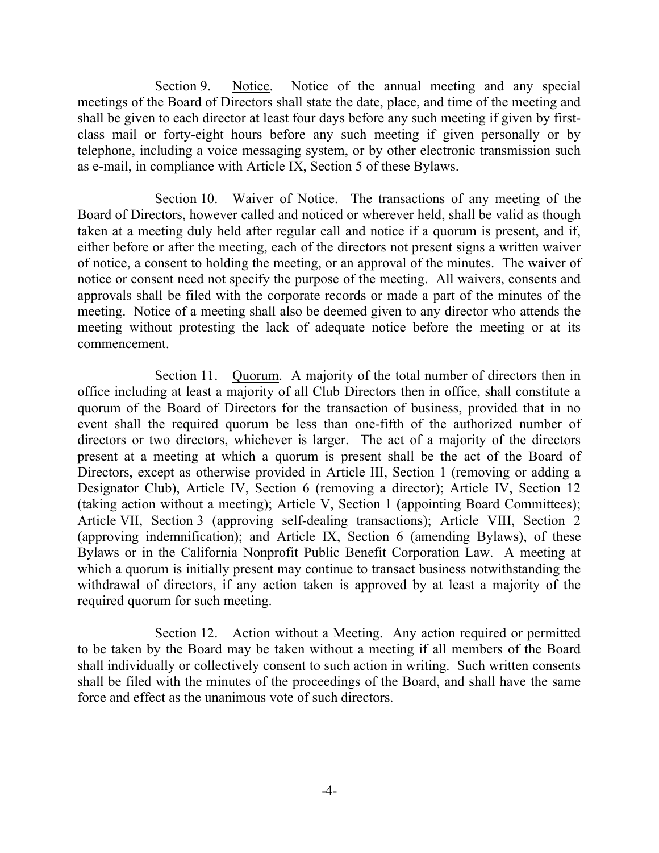Section 9. Notice. Notice of the annual meeting and any special meetings of the Board of Directors shall state the date, place, and time of the meeting and shall be given to each director at least four days before any such meeting if given by firstclass mail or forty-eight hours before any such meeting if given personally or by telephone, including a voice messaging system, or by other electronic transmission such as e-mail, in compliance with Article IX, Section 5 of these Bylaws.

Section 10. Waiver of Notice. The transactions of any meeting of the Board of Directors, however called and noticed or wherever held, shall be valid as though taken at a meeting duly held after regular call and notice if a quorum is present, and if, either before or after the meeting, each of the directors not present signs a written waiver of notice, a consent to holding the meeting, or an approval of the minutes. The waiver of notice or consent need not specify the purpose of the meeting. All waivers, consents and approvals shall be filed with the corporate records or made a part of the minutes of the meeting. Notice of a meeting shall also be deemed given to any director who attends the meeting without protesting the lack of adequate notice before the meeting or at its commencement.

Section 11. Quorum. A majority of the total number of directors then in office including at least a majority of all Club Directors then in office, shall constitute a quorum of the Board of Directors for the transaction of business, provided that in no event shall the required quorum be less than one-fifth of the authorized number of directors or two directors, whichever is larger. The act of a majority of the directors present at a meeting at which a quorum is present shall be the act of the Board of Directors, except as otherwise provided in Article III, Section 1 (removing or adding a Designator Club), Article IV, Section 6 (removing a director); Article IV, Section 12 (taking action without a meeting); Article V, Section 1 (appointing Board Committees); Article VII, Section 3 (approving self-dealing transactions); Article VIII, Section 2 (approving indemnification); and Article IX, Section 6 (amending Bylaws), of these Bylaws or in the California Nonprofit Public Benefit Corporation Law. A meeting at which a quorum is initially present may continue to transact business notwithstanding the withdrawal of directors, if any action taken is approved by at least a majority of the required quorum for such meeting.

Section 12. Action without a Meeting. Any action required or permitted to be taken by the Board may be taken without a meeting if all members of the Board shall individually or collectively consent to such action in writing. Such written consents shall be filed with the minutes of the proceedings of the Board, and shall have the same force and effect as the unanimous vote of such directors.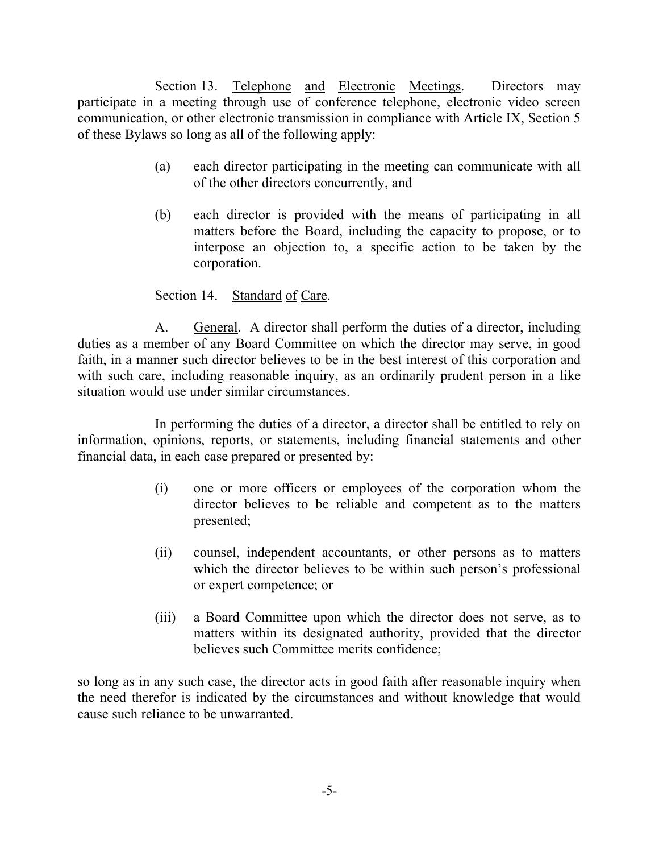Section 13. Telephone and Electronic Meetings. Directors may participate in a meeting through use of conference telephone, electronic video screen communication, or other electronic transmission in compliance with Article IX, Section 5 of these Bylaws so long as all of the following apply:

- (a) each director participating in the meeting can communicate with all of the other directors concurrently, and
- (b) each director is provided with the means of participating in all matters before the Board, including the capacity to propose, or to interpose an objection to, a specific action to be taken by the corporation.

## Section 14. Standard of Care.

A. General. A director shall perform the duties of a director, including duties as a member of any Board Committee on which the director may serve, in good faith, in a manner such director believes to be in the best interest of this corporation and with such care, including reasonable inquiry, as an ordinarily prudent person in a like situation would use under similar circumstances.

In performing the duties of a director, a director shall be entitled to rely on information, opinions, reports, or statements, including financial statements and other financial data, in each case prepared or presented by:

- (i) one or more officers or employees of the corporation whom the director believes to be reliable and competent as to the matters presented;
- (ii) counsel, independent accountants, or other persons as to matters which the director believes to be within such person's professional or expert competence; or
- (iii) a Board Committee upon which the director does not serve, as to matters within its designated authority, provided that the director believes such Committee merits confidence;

so long as in any such case, the director acts in good faith after reasonable inquiry when the need therefor is indicated by the circumstances and without knowledge that would cause such reliance to be unwarranted.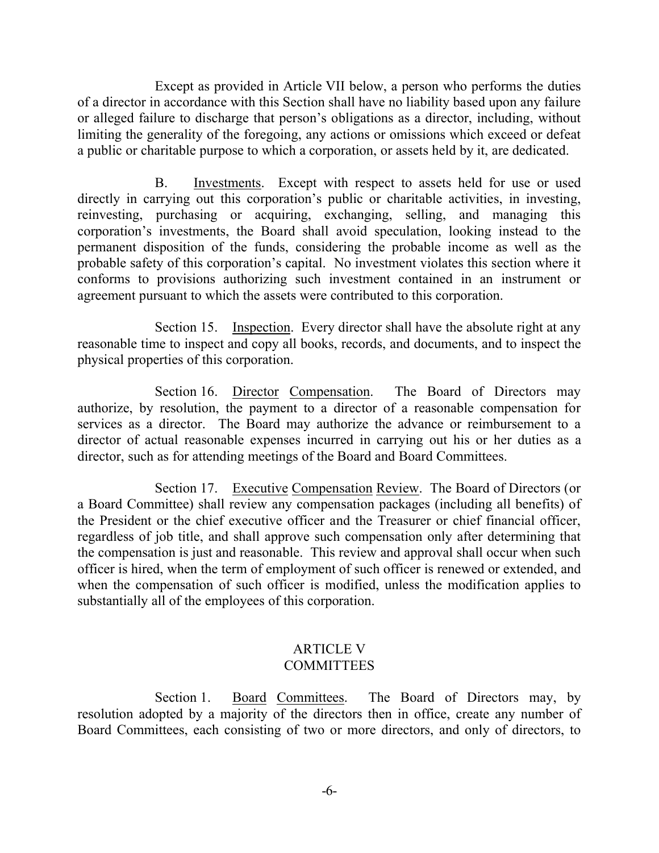Except as provided in Article VII below, a person who performs the duties of a director in accordance with this Section shall have no liability based upon any failure or alleged failure to discharge that person's obligations as a director, including, without limiting the generality of the foregoing, any actions or omissions which exceed or defeat a public or charitable purpose to which a corporation, or assets held by it, are dedicated.

B. Investments. Except with respect to assets held for use or used directly in carrying out this corporation's public or charitable activities, in investing, reinvesting, purchasing or acquiring, exchanging, selling, and managing this corporation's investments, the Board shall avoid speculation, looking instead to the permanent disposition of the funds, considering the probable income as well as the probable safety of this corporation's capital. No investment violates this section where it conforms to provisions authorizing such investment contained in an instrument or agreement pursuant to which the assets were contributed to this corporation.

Section 15. Inspection. Every director shall have the absolute right at any reasonable time to inspect and copy all books, records, and documents, and to inspect the physical properties of this corporation.

Section 16. Director Compensation. The Board of Directors may authorize, by resolution, the payment to a director of a reasonable compensation for services as a director. The Board may authorize the advance or reimbursement to a director of actual reasonable expenses incurred in carrying out his or her duties as a director, such as for attending meetings of the Board and Board Committees.

Section 17. Executive Compensation Review. The Board of Directors (or a Board Committee) shall review any compensation packages (including all benefits) of the President or the chief executive officer and the Treasurer or chief financial officer, regardless of job title, and shall approve such compensation only after determining that the compensation is just and reasonable. This review and approval shall occur when such officer is hired, when the term of employment of such officer is renewed or extended, and when the compensation of such officer is modified, unless the modification applies to substantially all of the employees of this corporation.

#### ARTICLE V **COMMITTEES**

Section 1. Board Committees. The Board of Directors may, by resolution adopted by a majority of the directors then in office, create any number of Board Committees, each consisting of two or more directors, and only of directors, to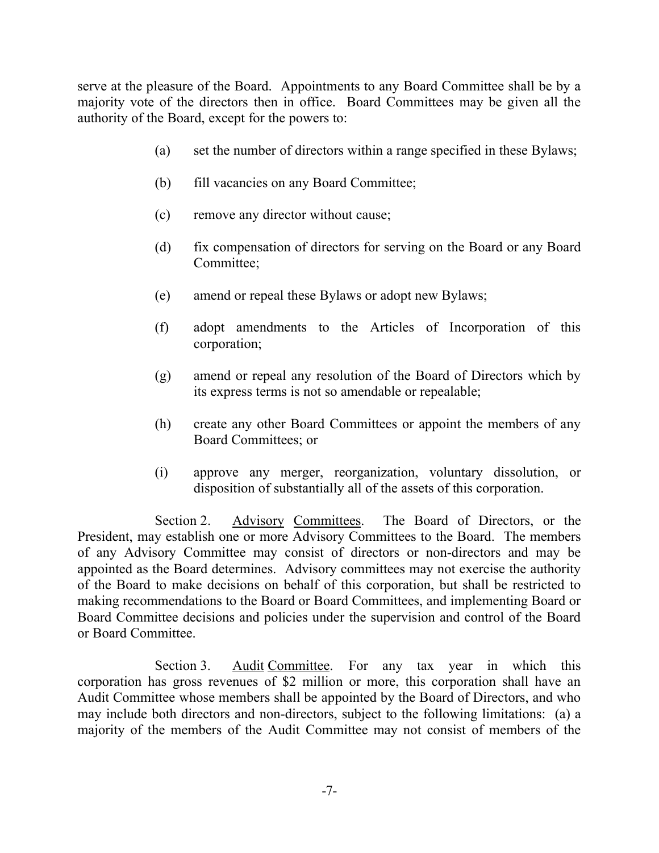serve at the pleasure of the Board. Appointments to any Board Committee shall be by a majority vote of the directors then in office. Board Committees may be given all the authority of the Board, except for the powers to:

- (a) set the number of directors within a range specified in these Bylaws;
- (b) fill vacancies on any Board Committee;
- (c) remove any director without cause;
- (d) fix compensation of directors for serving on the Board or any Board Committee;
- (e) amend or repeal these Bylaws or adopt new Bylaws;
- (f) adopt amendments to the Articles of Incorporation of this corporation;
- (g) amend or repeal any resolution of the Board of Directors which by its express terms is not so amendable or repealable;
- (h) create any other Board Committees or appoint the members of any Board Committees; or
- (i) approve any merger, reorganization, voluntary dissolution, or disposition of substantially all of the assets of this corporation.

Section 2. Advisory Committees. The Board of Directors, or the President, may establish one or more Advisory Committees to the Board. The members of any Advisory Committee may consist of directors or non-directors and may be appointed as the Board determines. Advisory committees may not exercise the authority of the Board to make decisions on behalf of this corporation, but shall be restricted to making recommendations to the Board or Board Committees, and implementing Board or Board Committee decisions and policies under the supervision and control of the Board or Board Committee.

Section 3. Audit Committee. For any tax year in which this corporation has gross revenues of \$2 million or more, this corporation shall have an Audit Committee whose members shall be appointed by the Board of Directors, and who may include both directors and non-directors, subject to the following limitations: (a) a majority of the members of the Audit Committee may not consist of members of the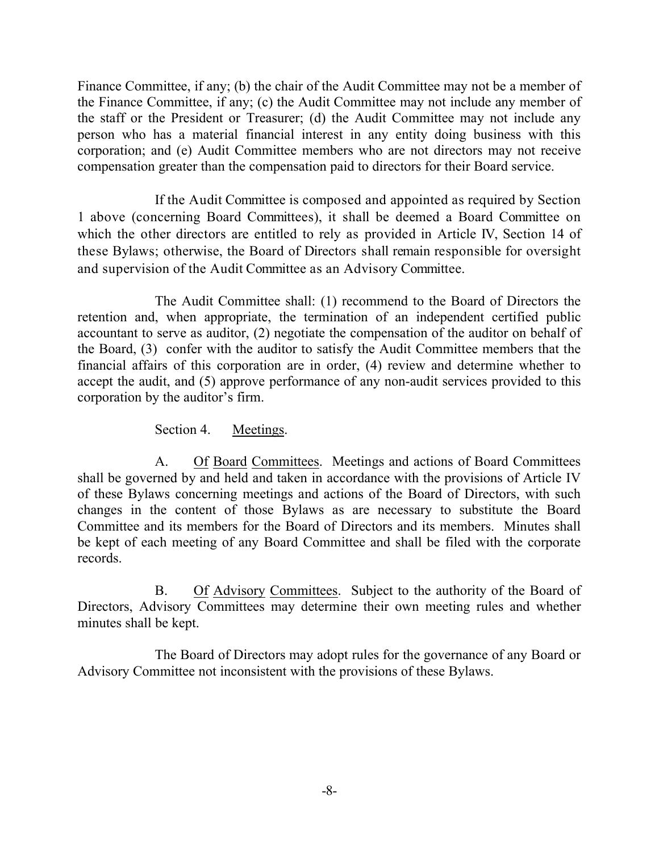Finance Committee, if any; (b) the chair of the Audit Committee may not be a member of the Finance Committee, if any; (c) the Audit Committee may not include any member of the staff or the President or Treasurer; (d) the Audit Committee may not include any person who has a material financial interest in any entity doing business with this corporation; and (e) Audit Committee members who are not directors may not receive compensation greater than the compensation paid to directors for their Board service.

If the Audit Committee is composed and appointed as required by Section 1 above (concerning Board Committees), it shall be deemed a Board Committee on which the other directors are entitled to rely as provided in Article IV, Section 14 of these Bylaws; otherwise, the Board of Directors shall remain responsible for oversight and supervision of the Audit Committee as an Advisory Committee.

The Audit Committee shall: (1) recommend to the Board of Directors the retention and, when appropriate, the termination of an independent certified public accountant to serve as auditor, (2) negotiate the compensation of the auditor on behalf of the Board, (3) confer with the auditor to satisfy the Audit Committee members that the financial affairs of this corporation are in order, (4) review and determine whether to accept the audit, and (5) approve performance of any non-audit services provided to this corporation by the auditor's firm.

Section 4. Meetings.

A. Of Board Committees. Meetings and actions of Board Committees shall be governed by and held and taken in accordance with the provisions of Article IV of these Bylaws concerning meetings and actions of the Board of Directors, with such changes in the content of those Bylaws as are necessary to substitute the Board Committee and its members for the Board of Directors and its members. Minutes shall be kept of each meeting of any Board Committee and shall be filed with the corporate records.

B. Of Advisory Committees. Subject to the authority of the Board of Directors, Advisory Committees may determine their own meeting rules and whether minutes shall be kept.

The Board of Directors may adopt rules for the governance of any Board or Advisory Committee not inconsistent with the provisions of these Bylaws.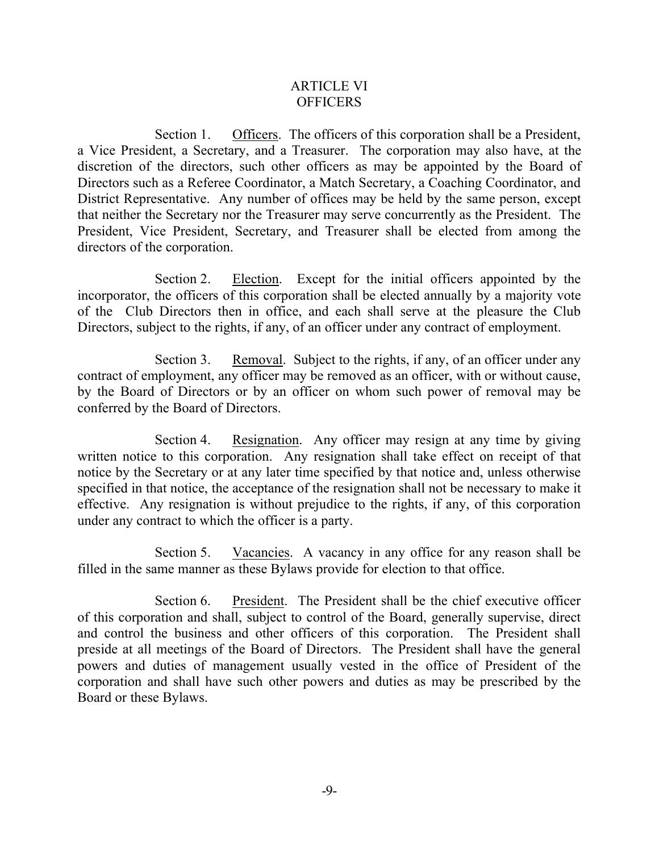#### ARTICLE VI **OFFICERS**

Section 1. Officers. The officers of this corporation shall be a President, a Vice President, a Secretary, and a Treasurer. The corporation may also have, at the discretion of the directors, such other officers as may be appointed by the Board of Directors such as a Referee Coordinator, a Match Secretary, a Coaching Coordinator, and District Representative. Any number of offices may be held by the same person, except that neither the Secretary nor the Treasurer may serve concurrently as the President. The President, Vice President, Secretary, and Treasurer shall be elected from among the directors of the corporation.

Section 2. Election. Except for the initial officers appointed by the incorporator, the officers of this corporation shall be elected annually by a majority vote of the Club Directors then in office, and each shall serve at the pleasure the Club Directors, subject to the rights, if any, of an officer under any contract of employment.

Section 3. Removal. Subject to the rights, if any, of an officer under any contract of employment, any officer may be removed as an officer, with or without cause, by the Board of Directors or by an officer on whom such power of removal may be conferred by the Board of Directors.

Section 4. Resignation. Any officer may resign at any time by giving written notice to this corporation. Any resignation shall take effect on receipt of that notice by the Secretary or at any later time specified by that notice and, unless otherwise specified in that notice, the acceptance of the resignation shall not be necessary to make it effective. Any resignation is without prejudice to the rights, if any, of this corporation under any contract to which the officer is a party.

Section 5. Vacancies. A vacancy in any office for any reason shall be filled in the same manner as these Bylaws provide for election to that office.

Section 6. President. The President shall be the chief executive officer of this corporation and shall, subject to control of the Board, generally supervise, direct and control the business and other officers of this corporation. The President shall preside at all meetings of the Board of Directors. The President shall have the general powers and duties of management usually vested in the office of President of the corporation and shall have such other powers and duties as may be prescribed by the Board or these Bylaws.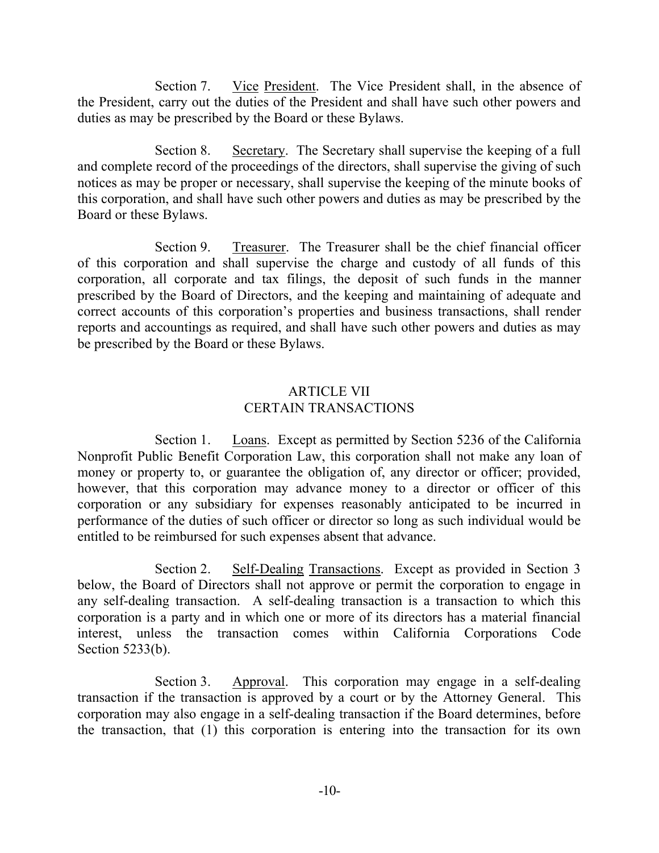Section 7. Vice President. The Vice President shall, in the absence of the President, carry out the duties of the President and shall have such other powers and duties as may be prescribed by the Board or these Bylaws.

Section 8. Secretary. The Secretary shall supervise the keeping of a full and complete record of the proceedings of the directors, shall supervise the giving of such notices as may be proper or necessary, shall supervise the keeping of the minute books of this corporation, and shall have such other powers and duties as may be prescribed by the Board or these Bylaws.

Section 9. Treasurer. The Treasurer shall be the chief financial officer of this corporation and shall supervise the charge and custody of all funds of this corporation, all corporate and tax filings, the deposit of such funds in the manner prescribed by the Board of Directors, and the keeping and maintaining of adequate and correct accounts of this corporation's properties and business transactions, shall render reports and accountings as required, and shall have such other powers and duties as may be prescribed by the Board or these Bylaws.

## ARTICLE VII CERTAIN TRANSACTIONS

Section 1. Loans. Except as permitted by Section 5236 of the California Nonprofit Public Benefit Corporation Law, this corporation shall not make any loan of money or property to, or guarantee the obligation of, any director or officer; provided, however, that this corporation may advance money to a director or officer of this corporation or any subsidiary for expenses reasonably anticipated to be incurred in performance of the duties of such officer or director so long as such individual would be entitled to be reimbursed for such expenses absent that advance.

Section 2. Self-Dealing Transactions. Except as provided in Section 3 below, the Board of Directors shall not approve or permit the corporation to engage in any self-dealing transaction. A self-dealing transaction is a transaction to which this corporation is a party and in which one or more of its directors has a material financial interest, unless the transaction comes within California Corporations Code Section 5233(b).

Section 3. Approval. This corporation may engage in a self-dealing transaction if the transaction is approved by a court or by the Attorney General. This corporation may also engage in a self-dealing transaction if the Board determines, before the transaction, that (1) this corporation is entering into the transaction for its own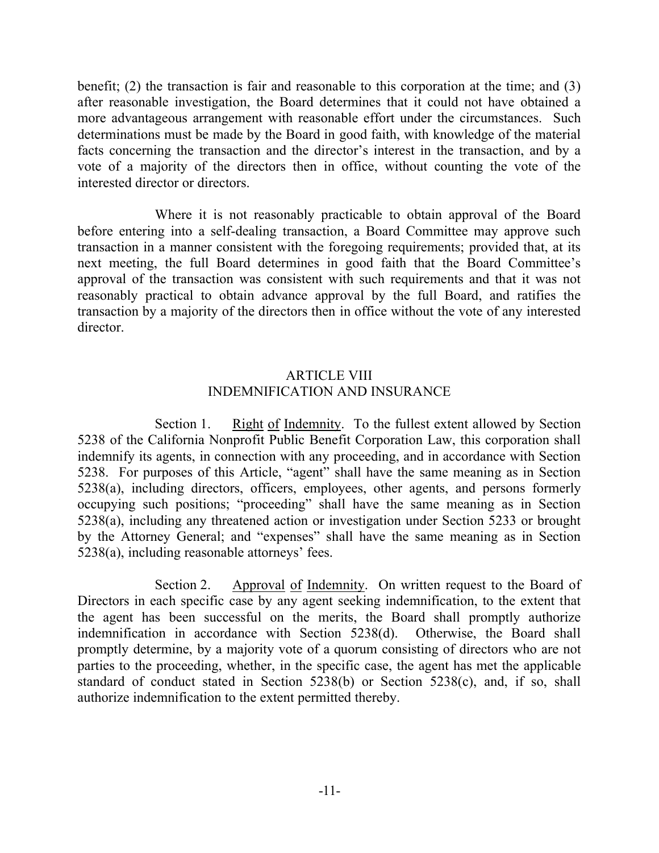benefit; (2) the transaction is fair and reasonable to this corporation at the time; and (3) after reasonable investigation, the Board determines that it could not have obtained a more advantageous arrangement with reasonable effort under the circumstances. Such determinations must be made by the Board in good faith, with knowledge of the material facts concerning the transaction and the director's interest in the transaction, and by a vote of a majority of the directors then in office, without counting the vote of the interested director or directors.

Where it is not reasonably practicable to obtain approval of the Board before entering into a self-dealing transaction, a Board Committee may approve such transaction in a manner consistent with the foregoing requirements; provided that, at its next meeting, the full Board determines in good faith that the Board Committee's approval of the transaction was consistent with such requirements and that it was not reasonably practical to obtain advance approval by the full Board, and ratifies the transaction by a majority of the directors then in office without the vote of any interested director.

## ARTICLE VIII INDEMNIFICATION AND INSURANCE

Section 1. Right of Indemnity. To the fullest extent allowed by Section 5238 of the California Nonprofit Public Benefit Corporation Law, this corporation shall indemnify its agents, in connection with any proceeding, and in accordance with Section 5238. For purposes of this Article, "agent" shall have the same meaning as in Section 5238(a), including directors, officers, employees, other agents, and persons formerly occupying such positions; "proceeding" shall have the same meaning as in Section 5238(a), including any threatened action or investigation under Section 5233 or brought by the Attorney General; and "expenses" shall have the same meaning as in Section 5238(a), including reasonable attorneys' fees.

Section 2. Approval of Indemnity. On written request to the Board of Directors in each specific case by any agent seeking indemnification, to the extent that the agent has been successful on the merits, the Board shall promptly authorize indemnification in accordance with Section 5238(d). Otherwise, the Board shall promptly determine, by a majority vote of a quorum consisting of directors who are not parties to the proceeding, whether, in the specific case, the agent has met the applicable standard of conduct stated in Section 5238(b) or Section 5238(c), and, if so, shall authorize indemnification to the extent permitted thereby.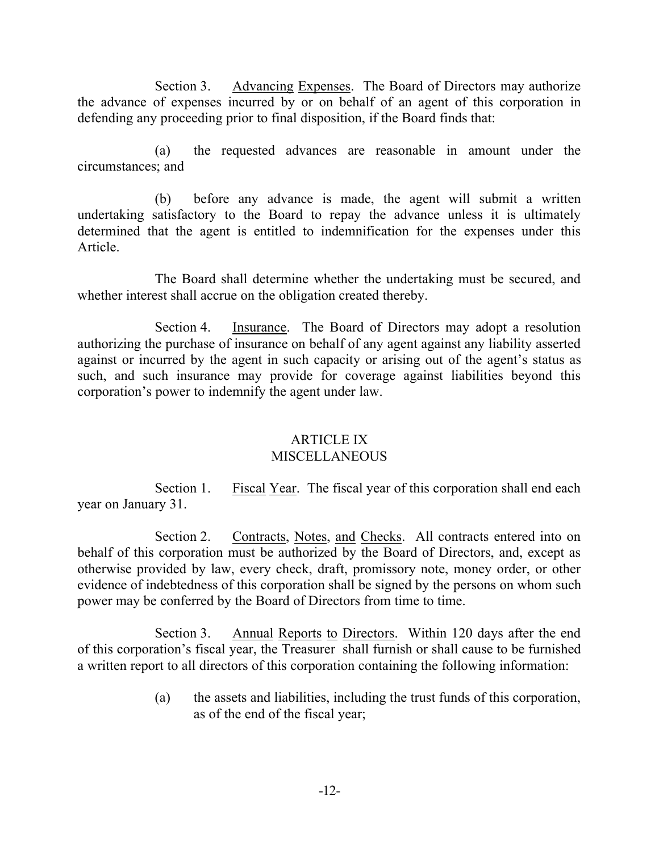Section 3. Advancing Expenses. The Board of Directors may authorize the advance of expenses incurred by or on behalf of an agent of this corporation in defending any proceeding prior to final disposition, if the Board finds that:

(a) the requested advances are reasonable in amount under the circumstances; and

(b) before any advance is made, the agent will submit a written undertaking satisfactory to the Board to repay the advance unless it is ultimately determined that the agent is entitled to indemnification for the expenses under this Article.

The Board shall determine whether the undertaking must be secured, and whether interest shall accrue on the obligation created thereby.

Section 4. Insurance. The Board of Directors may adopt a resolution authorizing the purchase of insurance on behalf of any agent against any liability asserted against or incurred by the agent in such capacity or arising out of the agent's status as such, and such insurance may provide for coverage against liabilities beyond this corporation's power to indemnify the agent under law.

# ARTICLE IX

# **MISCELLANEOUS**

Section 1. Fiscal Year. The fiscal year of this corporation shall end each year on January 31.

Section 2. Contracts, Notes, and Checks. All contracts entered into on behalf of this corporation must be authorized by the Board of Directors, and, except as otherwise provided by law, every check, draft, promissory note, money order, or other evidence of indebtedness of this corporation shall be signed by the persons on whom such power may be conferred by the Board of Directors from time to time.

Section 3. Annual Reports to Directors. Within 120 days after the end of this corporation's fiscal year, the Treasurer shall furnish or shall cause to be furnished a written report to all directors of this corporation containing the following information:

> (a) the assets and liabilities, including the trust funds of this corporation, as of the end of the fiscal year;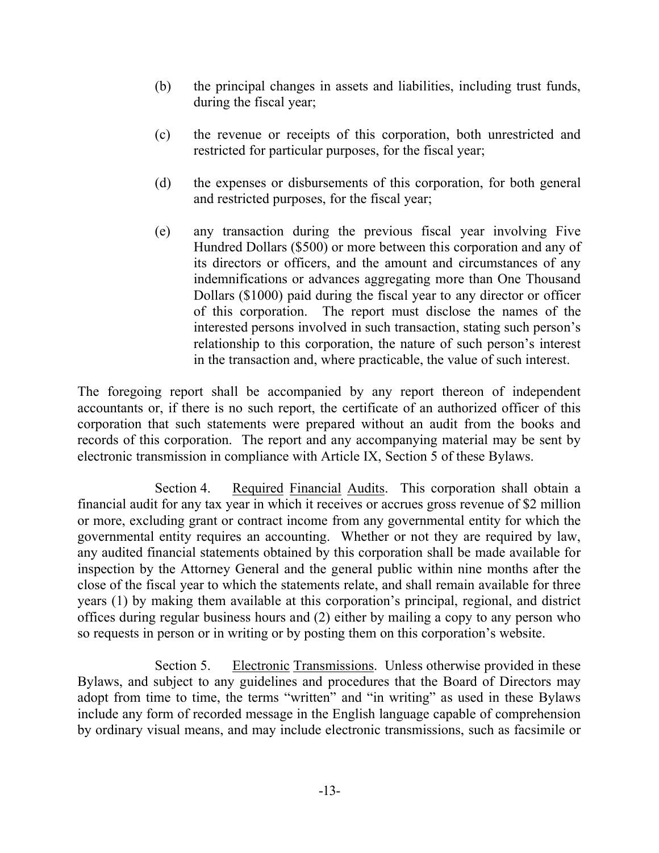- (b) the principal changes in assets and liabilities, including trust funds, during the fiscal year;
- (c) the revenue or receipts of this corporation, both unrestricted and restricted for particular purposes, for the fiscal year;
- (d) the expenses or disbursements of this corporation, for both general and restricted purposes, for the fiscal year;
- (e) any transaction during the previous fiscal year involving Five Hundred Dollars (\$500) or more between this corporation and any of its directors or officers, and the amount and circumstances of any indemnifications or advances aggregating more than One Thousand Dollars (\$1000) paid during the fiscal year to any director or officer of this corporation. The report must disclose the names of the interested persons involved in such transaction, stating such person's relationship to this corporation, the nature of such person's interest in the transaction and, where practicable, the value of such interest.

The foregoing report shall be accompanied by any report thereon of independent accountants or, if there is no such report, the certificate of an authorized officer of this corporation that such statements were prepared without an audit from the books and records of this corporation. The report and any accompanying material may be sent by electronic transmission in compliance with Article IX, Section 5 of these Bylaws.

Section 4. Required Financial Audits. This corporation shall obtain a financial audit for any tax year in which it receives or accrues gross revenue of \$2 million or more, excluding grant or contract income from any governmental entity for which the governmental entity requires an accounting. Whether or not they are required by law, any audited financial statements obtained by this corporation shall be made available for inspection by the Attorney General and the general public within nine months after the close of the fiscal year to which the statements relate, and shall remain available for three years (1) by making them available at this corporation's principal, regional, and district offices during regular business hours and (2) either by mailing a copy to any person who so requests in person or in writing or by posting them on this corporation's website.

Section 5. Electronic Transmissions. Unless otherwise provided in these Bylaws, and subject to any guidelines and procedures that the Board of Directors may adopt from time to time, the terms "written" and "in writing" as used in these Bylaws include any form of recorded message in the English language capable of comprehension by ordinary visual means, and may include electronic transmissions, such as facsimile or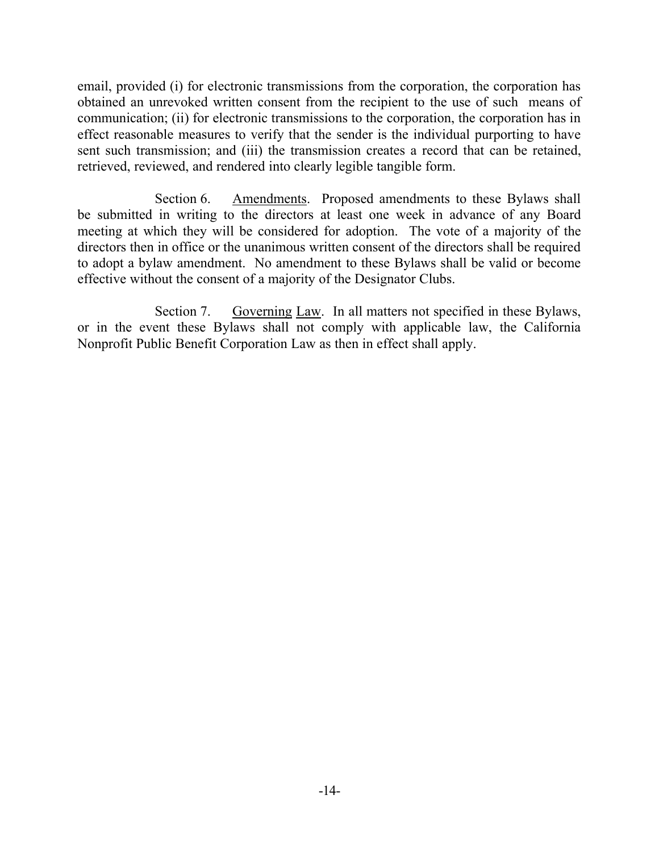email, provided (i) for electronic transmissions from the corporation, the corporation has obtained an unrevoked written consent from the recipient to the use of such means of communication; (ii) for electronic transmissions to the corporation, the corporation has in effect reasonable measures to verify that the sender is the individual purporting to have sent such transmission; and (iii) the transmission creates a record that can be retained, retrieved, reviewed, and rendered into clearly legible tangible form.

Section 6. Amendments. Proposed amendments to these Bylaws shall be submitted in writing to the directors at least one week in advance of any Board meeting at which they will be considered for adoption. The vote of a majority of the directors then in office or the unanimous written consent of the directors shall be required to adopt a bylaw amendment. No amendment to these Bylaws shall be valid or become effective without the consent of a majority of the Designator Clubs.

Section 7. Governing Law. In all matters not specified in these Bylaws, or in the event these Bylaws shall not comply with applicable law, the California Nonprofit Public Benefit Corporation Law as then in effect shall apply.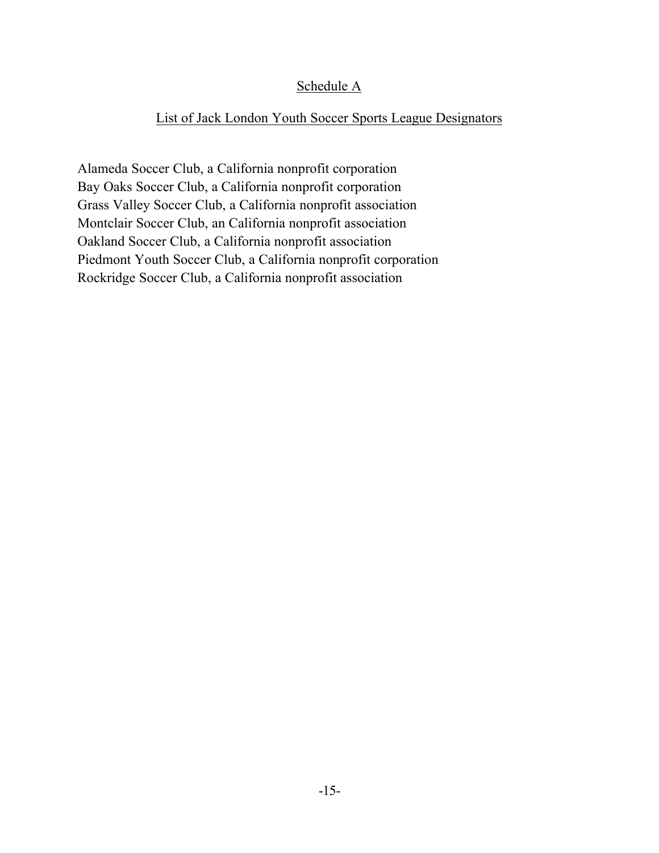## Schedule A

## List of Jack London Youth Soccer Sports League Designators

Alameda Soccer Club, a California nonprofit corporation Bay Oaks Soccer Club, a California nonprofit corporation Grass Valley Soccer Club, a California nonprofit association Montclair Soccer Club, an California nonprofit association Oakland Soccer Club, a California nonprofit association Piedmont Youth Soccer Club, a California nonprofit corporation Rockridge Soccer Club, a California nonprofit association